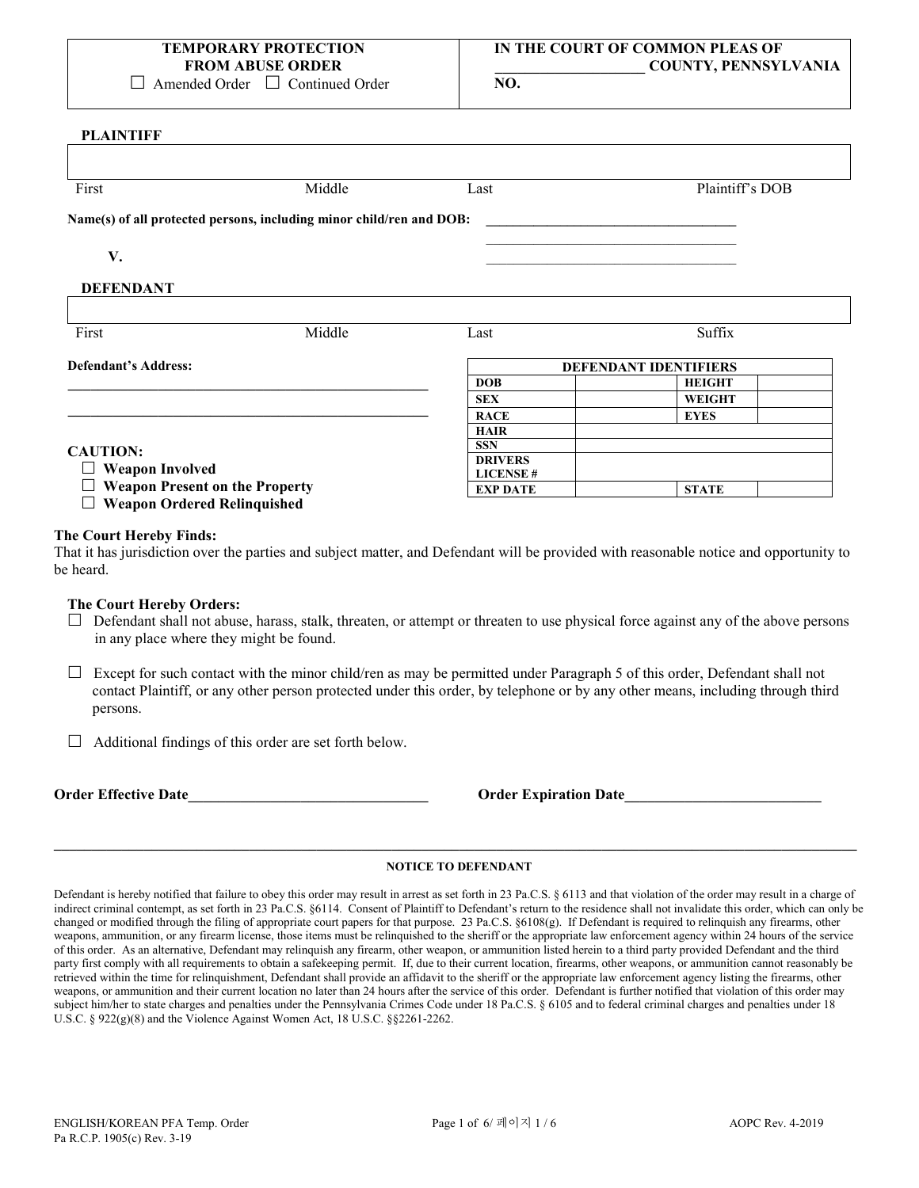**NO.**

### **PLAINTIFF**

| First                                                                | Middle | Last                               | Plaintiff's DOB              |
|----------------------------------------------------------------------|--------|------------------------------------|------------------------------|
| Name(s) of all protected persons, including minor child/ren and DOB: |        |                                    |                              |
| V.                                                                   |        |                                    |                              |
| <b>DEFENDANT</b>                                                     |        |                                    |                              |
|                                                                      |        |                                    |                              |
| First                                                                | Middle | Last                               | Suffix                       |
|                                                                      |        |                                    |                              |
|                                                                      |        |                                    | <b>DEFENDANT IDENTIFIERS</b> |
| <b>Defendant's Address:</b>                                          |        | <b>DOB</b>                         | <b>HEIGHT</b>                |
|                                                                      |        | <b>SEX</b>                         | <b>WEIGHT</b>                |
|                                                                      |        | <b>RACE</b>                        | <b>EYES</b>                  |
|                                                                      |        | <b>HAIR</b>                        |                              |
|                                                                      |        | <b>SSN</b>                         |                              |
| <b>CAUTION:</b>                                                      |        | <b>DRIVERS</b>                     |                              |
| <b>Weapon Involved</b><br>ப<br><b>Weapon Present on the Property</b> |        | <b>LICENSE#</b><br><b>EXP DATE</b> | <b>STATE</b>                 |

# **The Court Hereby Finds:**

That it has jurisdiction over the parties and subject matter, and Defendant will be provided with reasonable notice and opportunity to be heard.

### **The Court Hereby Orders:**

- $\Box$  Defendant shall not abuse, harass, stalk, threaten, or attempt or threaten to use physical force against any of the above persons in any place where they might be found.
- $\Box$  Except for such contact with the minor child/ren as may be permitted under Paragraph 5 of this order, Defendant shall not contact Plaintiff, or any other person protected under this order, by telephone or by any other means, including through third persons.
- $\Box$  Additional findings of this order are set forth below.

**Order Effective Date Constanting Security Constanting Security Constanting Order Expiration Date** 

# **\_\_\_\_\_\_\_\_\_\_\_\_\_\_\_\_\_\_\_\_\_\_\_\_\_\_\_\_\_\_\_\_\_\_\_\_\_\_\_\_\_\_\_\_\_\_\_\_\_\_\_\_\_\_\_\_\_\_\_\_\_\_\_\_\_\_\_\_\_\_\_\_\_\_\_\_\_\_\_\_\_\_\_\_\_\_\_\_\_\_\_\_\_\_\_\_\_\_\_\_\_\_\_\_\_\_\_ NOTICE TO DEFENDANT**

Defendant is hereby notified that failure to obey this order may result in arrest as set forth in 23 Pa.C.S. § 6113 and that violation of the order may result in a charge of indirect criminal contempt, as set forth in 23 Pa.C.S. §6114. Consent of Plaintiff to Defendant's return to the residence shall not invalidate this order, which can only be changed or modified through the filing of appropriate court papers for that purpose. 23 Pa.C.S. §6108(g). If Defendant is required to relinquish any firearms, other weapons, ammunition, or any firearm license, those items must be relinquished to the sheriff or the appropriate law enforcement agency within 24 hours of the service of this order. As an alternative, Defendant may relinquish any firearm, other weapon, or ammunition listed herein to a third party provided Defendant and the third party first comply with all requirements to obtain a safekeeping permit. If, due to their current location, firearms, other weapons, or ammunition cannot reasonably be retrieved within the time for relinquishment, Defendant shall provide an affidavit to the sheriff or the appropriate law enforcement agency listing the firearms, other weapons, or ammunition and their current location no later than 24 hours after the service of this order. Defendant is further notified that violation of this order may subject him/her to state charges and penalties under the Pennsylvania Crimes Code under 18 Pa.C.S. § 6105 and to federal criminal charges and penalties under 18 U.S.C. § 922(g)(8) and the Violence Against Women Act, 18 U.S.C. §§2261-2262.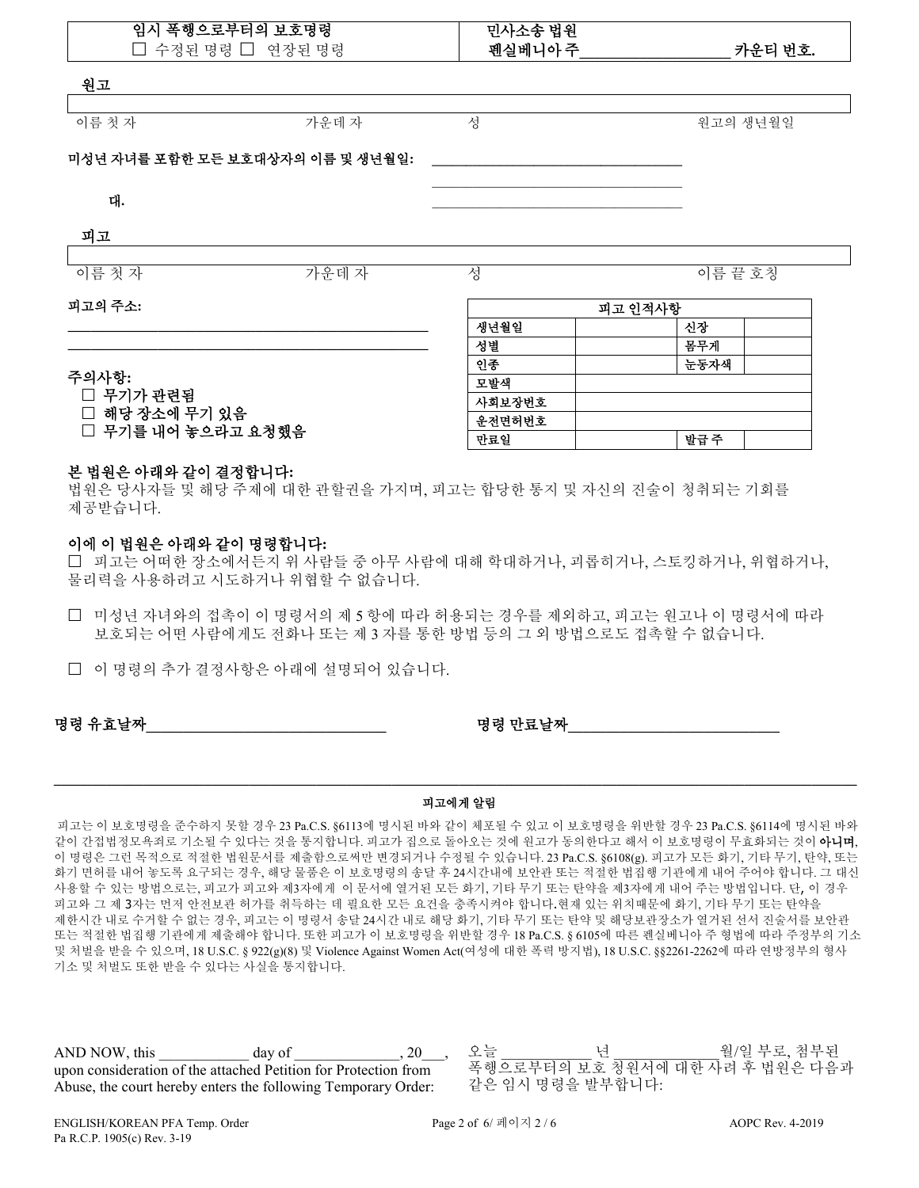| 임시 폭행으로부터의 보호명령<br>□ 수정된 명령 □ 연장된 명령 |                                  | 민사소송 법원<br>펜실베니아주 |         | 카운티 번호. |          |
|--------------------------------------|----------------------------------|-------------------|---------|---------|----------|
| 원고                                   |                                  |                   |         |         |          |
| 이름 첫 자                               | 가운데자                             | 성                 |         |         | 원고의 생년월일 |
|                                      | 미성년 자녀를 포함한 모든 보호대상자의 이름 및 생년월일: |                   |         |         |          |
| 대.                                   |                                  |                   |         |         |          |
| 피고                                   |                                  |                   |         |         |          |
| 이름 첫 자                               | 가운데자                             | 성                 |         | 이름 끝 호칭 |          |
| 피고의 주소:                              |                                  |                   | 피고 인적사항 |         |          |
|                                      |                                  | 생년월일              |         | 신장      |          |
|                                      |                                  | 성별                |         | 몸무게     |          |
| 주의사항:                                |                                  | 인종                |         | 눈동자색    |          |
| □ 무기가 관련됨                            |                                  | 모발색               |         |         |          |
| □ 해당 장소에 무기 있음                       |                                  | 사회보장번호            |         |         |          |
| □ 무기를 내어 놓으라고 요청했음                   |                                  | 운전면허번호<br>만료일     |         | 발급주     |          |
|                                      |                                  |                   |         |         |          |

### 본 법원은 아래와 같이 결정합니다**:**

법원은 당사자들 및 해당 주제에 대한 관할권을 가지며, 피고는 합당한 통지 및 자신의 진술이 청취되는 기회를 제공받습니다.

### 이에 이 법원은 아래와 같이 명령합니다**:**

 피고는 어떠한 장소에서든지 위 사람들 중 아무 사람에 대해 학대하거나, 괴롭히거나, 스토킹하거나, 위협하거나, 물리력을 사용하려고 시도하거나 위협할 수 없습니다.

 미성년 자녀와의 접촉이 이 명령서의 제 5 항에 따라 허용되는 경우를 제외하고, 피고는 원고나 이 명령서에 따라 보호되는 어떤 사람에게도 전화나 또는 제 3 자를 통한 방법 등의 그 외 방법으로도 접촉할 수 없습니다.

이 명령의 추가 결정사항은 아래에 설명되어 있습니다.

명령 유효날짜

# **\_\_\_\_\_\_\_\_\_\_\_\_\_\_\_\_\_\_\_\_\_\_\_\_\_\_\_\_\_\_\_\_\_\_\_\_\_\_\_\_\_\_\_\_\_\_\_\_\_\_\_\_\_\_\_\_\_\_\_\_\_\_\_\_\_\_\_\_\_\_\_\_\_\_\_\_\_\_\_\_\_\_\_\_\_\_\_\_\_\_\_\_\_\_\_\_\_\_\_\_\_\_\_\_\_\_\_** 피고에게 알림

피고는 이 보호명령을 준수하지 못할 경우 23 Pa.C.S. §6113에 명시된 바와 같이 체포될 수 있고 이 보호명령을 위반할 경우 23 Pa.C.S. §6114에 명시된 바와 같이 간접법정모욕죄로 기소될 수 있다는 것을 통지합니다. 피고가 집으로 돌아오는 것에 원고가 동의한다고 해서 이 보호명령이 무효화되는 것이 아니며, 이 명령은 그런 목적으로 적절한 법원문서를 제출함으로써만 변경되거나 수정될 수 있습니다. 23 Pa.C.S. §6108(g). 피고가 모든 화기, 기타 무기, 탄약, 또는 화기 면허를 내어 놓도록 요구되는 경우, 해당 물품은 이 보호명령의 송달 후 24시간내에 보안관 또는 적절한 법집행 기관에게 내어 주어야 합니다. 그 대신 사용할 수 있는 방법으로는, 피고가 피고와 제3자에게 이 문서에 열거된 모든 화기, 기타 무기 또는 탄약을 제3자에게 내어 주는 방법입니다. 단, 이 경우 피고와 그 제 3자는 먼저 안전보관 허가를 취득하는 데 필요한 모든 요건을 충족시켜야 합니다.현재 있는 위치때문에 화기, 기타 무기 또는 탄약을 제한시간 내로 수거할 수 없는 경우, 피고는 이 명령서 송달 24시간 내로 해당 화기, 기타 무기 또는 탄약 및 해당보관장소가 열거된 선서 진술서를 보안관 또는 적절한 법집행 기관에게 제출해야 합니다. 또한 피고가 이 보호명령을 위반할 경우 18 Pa.C.S. § 6105에 따른 펜실베니아 주 형법에 따라 주정부의 기소 및 처벌을 받을 수 있으며, 18 U.S.C. § 922(g)(8) 및 Violence Against Women Act(여성에 대한 폭력 방지법), 18 U.S.C. §§2261-2262에 따라 연방정부의 형사 기소 및 처벌도 또한 받을 수 있다는 사실을 통지합니다.

AND NOW, this \_\_\_\_\_\_\_\_\_\_\_\_\_\_\_\_ day of  $\qquad \qquad , 20$ upon consideration of the attached Petition for Protection from Abuse, the court hereby enters the following Temporary Order:

오늘 \_\_\_\_\_\_\_\_\_\_\_\_년 \_\_\_\_\_\_\_\_\_\_\_\_ 월/일 부로, 첨부된 폭행으로부터의 보호 청원서에 대한 사려 후 법원은 다음과 같은 임시 명령을 발부합니다: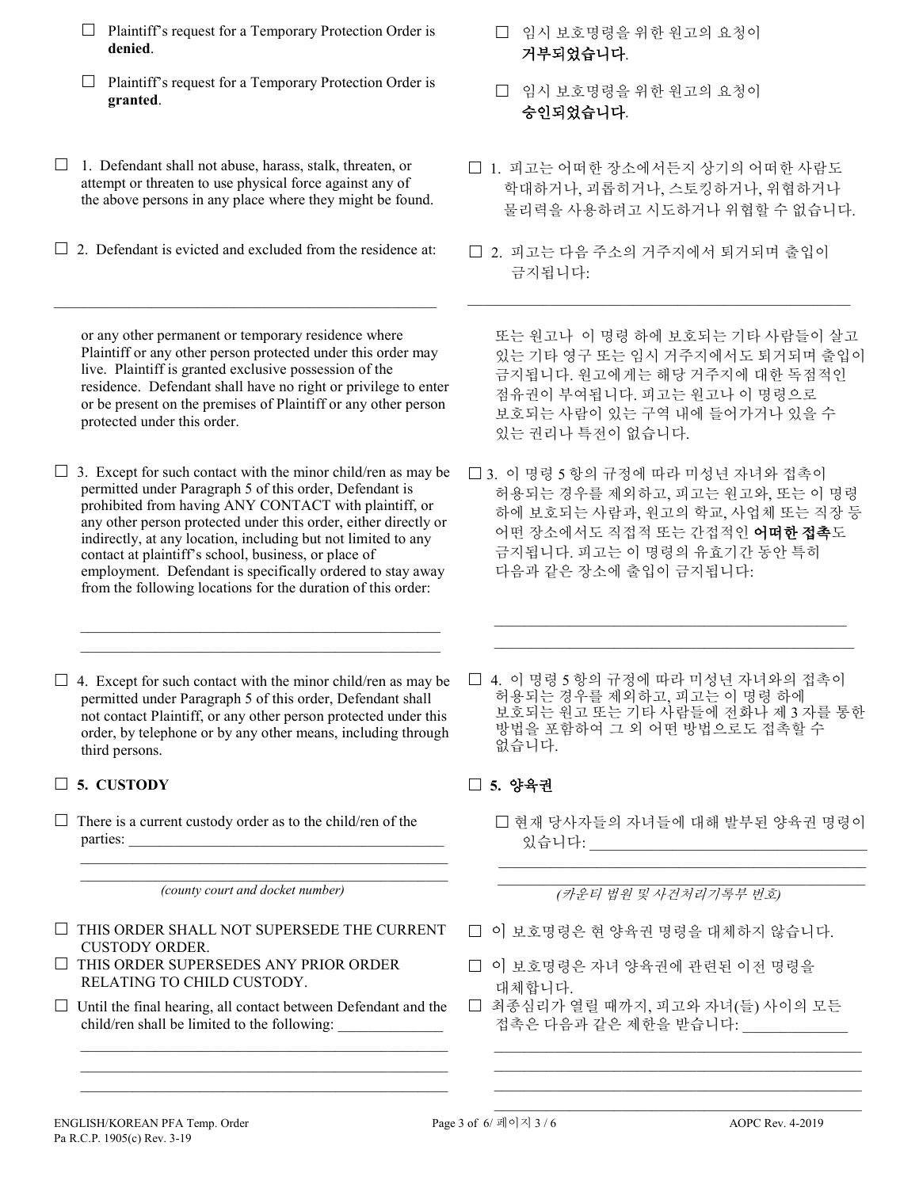- $\Box$  Plaintiff's request for a Temporary Protection Order is **denied**.
- $\Box$  Plaintiff's request for a Temporary Protection Order is **granted**.
- $\Box$  1. Defendant shall not abuse, harass, stalk, threaten, or attempt or threaten to use physical force against any of the above persons in any place where they might be found.
- $\Box$  2. Defendant is evicted and excluded from the residence at:

\_\_\_\_\_\_\_\_\_\_\_\_\_\_\_\_\_\_\_\_\_\_\_\_\_\_\_\_\_\_\_\_\_\_\_\_\_\_\_\_\_\_\_\_\_\_\_\_\_\_\_

or any other permanent or temporary residence where Plaintiff or any other person protected under this order may live. Plaintiff is granted exclusive possession of the residence. Defendant shall have no right or privilege to enter or be present on the premises of Plaintiff or any other person protected under this order.

 $\Box$  3. Except for such contact with the minor child/ren as may be permitted under Paragraph 5 of this order, Defendant is prohibited from having ANY CONTACT with plaintiff, or any other person protected under this order, either directly or indirectly, at any location, including but not limited to any contact at plaintiff's school, business, or place of employment. Defendant is specifically ordered to stay away from the following locations for the duration of this order:

 $\mathcal{L}_\text{max} = \frac{1}{2} \sum_{i=1}^{n} \frac{1}{2} \sum_{i=1}^{n} \frac{1}{2} \sum_{i=1}^{n} \frac{1}{2} \sum_{i=1}^{n} \frac{1}{2} \sum_{i=1}^{n} \frac{1}{2} \sum_{i=1}^{n} \frac{1}{2} \sum_{i=1}^{n} \frac{1}{2} \sum_{i=1}^{n} \frac{1}{2} \sum_{i=1}^{n} \frac{1}{2} \sum_{i=1}^{n} \frac{1}{2} \sum_{i=1}^{n} \frac{1}{2} \sum_{i=1}^{n} \frac{1$  $\mathcal{L}_\text{max} = \frac{1}{2} \sum_{i=1}^{n} \frac{1}{2} \sum_{i=1}^{n} \frac{1}{2} \sum_{i=1}^{n} \frac{1}{2} \sum_{i=1}^{n} \frac{1}{2} \sum_{i=1}^{n} \frac{1}{2} \sum_{i=1}^{n} \frac{1}{2} \sum_{i=1}^{n} \frac{1}{2} \sum_{i=1}^{n} \frac{1}{2} \sum_{i=1}^{n} \frac{1}{2} \sum_{i=1}^{n} \frac{1}{2} \sum_{i=1}^{n} \frac{1}{2} \sum_{i=1}^{n} \frac{1$ 

 $\Box$  4. Except for such contact with the minor child/ren as may be permitted under Paragraph 5 of this order, Defendant shall not contact Plaintiff, or any other person protected under this order, by telephone or by any other means, including through third persons.

# **5. CUSTODY 5.** 양육권

 $\Box$  There is a current custody order as to the child/ren of the parties:

 $\mathcal{L}_\text{max} = \frac{1}{2} \sum_{i=1}^n \frac{1}{2} \sum_{i=1}^n \frac{1}{2} \sum_{i=1}^n \frac{1}{2} \sum_{i=1}^n \frac{1}{2} \sum_{i=1}^n \frac{1}{2} \sum_{i=1}^n \frac{1}{2} \sum_{i=1}^n \frac{1}{2} \sum_{i=1}^n \frac{1}{2} \sum_{i=1}^n \frac{1}{2} \sum_{i=1}^n \frac{1}{2} \sum_{i=1}^n \frac{1}{2} \sum_{i=1}^n \frac{1}{2} \sum_{i=1}^n$ *(county court and docket number)*

 $\mathcal{L}_\text{max}$  , and the set of the set of the set of the set of the set of the set of the set of the set of the set of the set of the set of the set of the set of the set of the set of the set of the set of the set of the

- $\Box$  THIS ORDER SHALL NOT SUPERSEDE THE CURRENT CUSTODY ORDER.
- $\Box$  THIS ORDER SUPERSEDES ANY PRIOR ORDER RELATING TO CHILD CUSTODY.
- $\Box$  Until the final hearing, all contact between Defendant and the child/ren shall be limited to the following:  $\mathcal{L}_\text{max}$  , and the set of the set of the set of the set of the set of the set of the set of the set of the set of the set of the set of the set of the set of the set of the set of the set of the set of the set of the

 $\mathcal{L}_\text{max}$  , and the set of the set of the set of the set of the set of the set of the set of the set of the set of the set of the set of the set of the set of the set of the set of the set of the set of the set of the  $\mathcal{L}_\text{max} = \{ \mathcal{L}_\text{max} \mid \mathcal{L}_\text{max} \}$ 

- 임시 보호명령을 위한 원고의 요청이 거부되었습니다.
- 임시 보호명령을 위한 원고의 요청이 승인되었습니다.
- 1. 피고는 어떠한 장소에서든지 상기의 어떠한 사람도 학대하거나, 괴롭히거나, 스토킹하거나, 위협하거나 물리력을 사용하려고 시도하거나 위협할 수 없습니다.
- 2. 피고는 다음 주소의 거주지에서 퇴거되며 출입이 금지됩니다:

 $\mathcal{L}_\text{max}$  and  $\mathcal{L}_\text{max}$  and  $\mathcal{L}_\text{max}$  and  $\mathcal{L}_\text{max}$  and  $\mathcal{L}_\text{max}$ 

또는 원고나 이 명령 하에 보호되는 기타 사람들이 살고 있는 기타 영구 또는 임시 거주지에서도 퇴거되며 출입이 금지됩니다. 원고에게는 해당 거주지에 대한 독점적인 점유권이 부여됩니다. 피고는 원고나 이 명령으로 보호되는 사람이 있는 구역 내에 들어가거나 있을 수 있는 권리나 특전이 없습니다.

- 3. 이 명령 5 항의 규정에 따라 미성년 자녀와 접촉이 허용되는 경우를 제외하고, 피고는 원고와, 또는 이 명령 하에 보호되는 사람과, 원고의 학교, 사업체 또는 직장 등 어떤 장소에서도 직접적 또는 간접적인 어떠한 접촉도 금지됩니다. 피고는 이 명령의 유효기간 동안 특히 다음과 같은 장소에 출입이 금지됩니다:
- 4. 이 명령 5 항의 규정에 따라 미성년 자녀와의 접촉이 허용되는 경우를 제외하고, 피고는 이 명령 하에 보호되는 원고 또는 기타 사람들에 전화나 제 3 자를 통한 방법을 포함하여 그 외 어떤 방법으로도 접촉할 수 없습니다.

 $\mathcal{L}_\text{max} = \frac{1}{2} \sum_{i=1}^{n} \frac{1}{2} \sum_{i=1}^{n} \frac{1}{2} \sum_{i=1}^{n} \frac{1}{2} \sum_{i=1}^{n} \frac{1}{2} \sum_{i=1}^{n} \frac{1}{2} \sum_{i=1}^{n} \frac{1}{2} \sum_{i=1}^{n} \frac{1}{2} \sum_{i=1}^{n} \frac{1}{2} \sum_{i=1}^{n} \frac{1}{2} \sum_{i=1}^{n} \frac{1}{2} \sum_{i=1}^{n} \frac{1}{2} \sum_{i=1}^{n} \frac{1$  $\mathcal{L}_\text{max} = \frac{1}{2} \sum_{i=1}^{n} \frac{1}{2} \sum_{i=1}^{n} \frac{1}{2} \sum_{i=1}^{n} \frac{1}{2} \sum_{i=1}^{n} \frac{1}{2} \sum_{i=1}^{n} \frac{1}{2} \sum_{i=1}^{n} \frac{1}{2} \sum_{i=1}^{n} \frac{1}{2} \sum_{i=1}^{n} \frac{1}{2} \sum_{i=1}^{n} \frac{1}{2} \sum_{i=1}^{n} \frac{1}{2} \sum_{i=1}^{n} \frac{1}{2} \sum_{i=1}^{n} \frac{1$ 

 현재 당사자들의 자녀들에 대해 발부된 양육권 명령이 있습니다: \_\_\_\_\_\_\_\_\_\_\_\_\_\_\_\_\_\_\_\_\_\_\_\_\_\_\_\_\_\_\_\_\_\_\_\_\_

 $\mathcal{L}_\text{max}$  and  $\mathcal{L}_\text{max}$  and  $\mathcal{L}_\text{max}$  and  $\mathcal{L}_\text{max}$  and  $\mathcal{L}_\text{max}$ 

 $\mathcal{L}_\text{max}$  , and the set of the set of the set of the set of the set of the set of the set of the set of the set of the set of the set of the set of the set of the set of the set of the set of the set of the set of the *(*카운티 법원 및 사건처리기록부 번호*)*

- 이 보호명령은 현 양육권 명령을 대체하지 않습니다.
- 이 보호명령은 자녀 양육권에 관련된 이전 명령을 대체합니다.
- 최종심리가 열릴 때까지, 피고와 자녀(들) 사이의 모든 접촉은 다음과 같은 제한을 받습니다:

 $\mathcal{L}_\text{max} = \mathcal{L}_\text{max} = \mathcal{L}_\text{max} = \mathcal{L}_\text{max} = \mathcal{L}_\text{max} = \mathcal{L}_\text{max} = \mathcal{L}_\text{max} = \mathcal{L}_\text{max} = \mathcal{L}_\text{max} = \mathcal{L}_\text{max} = \mathcal{L}_\text{max} = \mathcal{L}_\text{max} = \mathcal{L}_\text{max} = \mathcal{L}_\text{max} = \mathcal{L}_\text{max} = \mathcal{L}_\text{max} = \mathcal{L}_\text{max} = \mathcal{L}_\text{max} = \mathcal{$  $\mathcal{L}_\text{max} = \frac{1}{2} \sum_{i=1}^{n} \frac{1}{2} \sum_{i=1}^{n} \frac{1}{2} \sum_{i=1}^{n} \frac{1}{2} \sum_{i=1}^{n} \frac{1}{2} \sum_{i=1}^{n} \frac{1}{2} \sum_{i=1}^{n} \frac{1}{2} \sum_{i=1}^{n} \frac{1}{2} \sum_{i=1}^{n} \frac{1}{2} \sum_{i=1}^{n} \frac{1}{2} \sum_{i=1}^{n} \frac{1}{2} \sum_{i=1}^{n} \frac{1}{2} \sum_{i=1}^{n} \frac{1$  $\mathcal{L}_\text{max} = \mathcal{L}_\text{max} = \mathcal{L}_\text{max} = \mathcal{L}_\text{max} = \mathcal{L}_\text{max} = \mathcal{L}_\text{max} = \mathcal{L}_\text{max} = \mathcal{L}_\text{max} = \mathcal{L}_\text{max} = \mathcal{L}_\text{max} = \mathcal{L}_\text{max} = \mathcal{L}_\text{max} = \mathcal{L}_\text{max} = \mathcal{L}_\text{max} = \mathcal{L}_\text{max} = \mathcal{L}_\text{max} = \mathcal{L}_\text{max} = \mathcal{L}_\text{max} = \mathcal{$  $\mathcal{L}_\text{max} = \mathcal{L}_\text{max} = \mathcal{L}_\text{max} = \mathcal{L}_\text{max} = \mathcal{L}_\text{max} = \mathcal{L}_\text{max} = \mathcal{L}_\text{max} = \mathcal{L}_\text{max} = \mathcal{L}_\text{max} = \mathcal{L}_\text{max} = \mathcal{L}_\text{max} = \mathcal{L}_\text{max} = \mathcal{L}_\text{max} = \mathcal{L}_\text{max} = \mathcal{L}_\text{max} = \mathcal{L}_\text{max} = \mathcal{L}_\text{max} = \mathcal{L}_\text{max} = \mathcal{$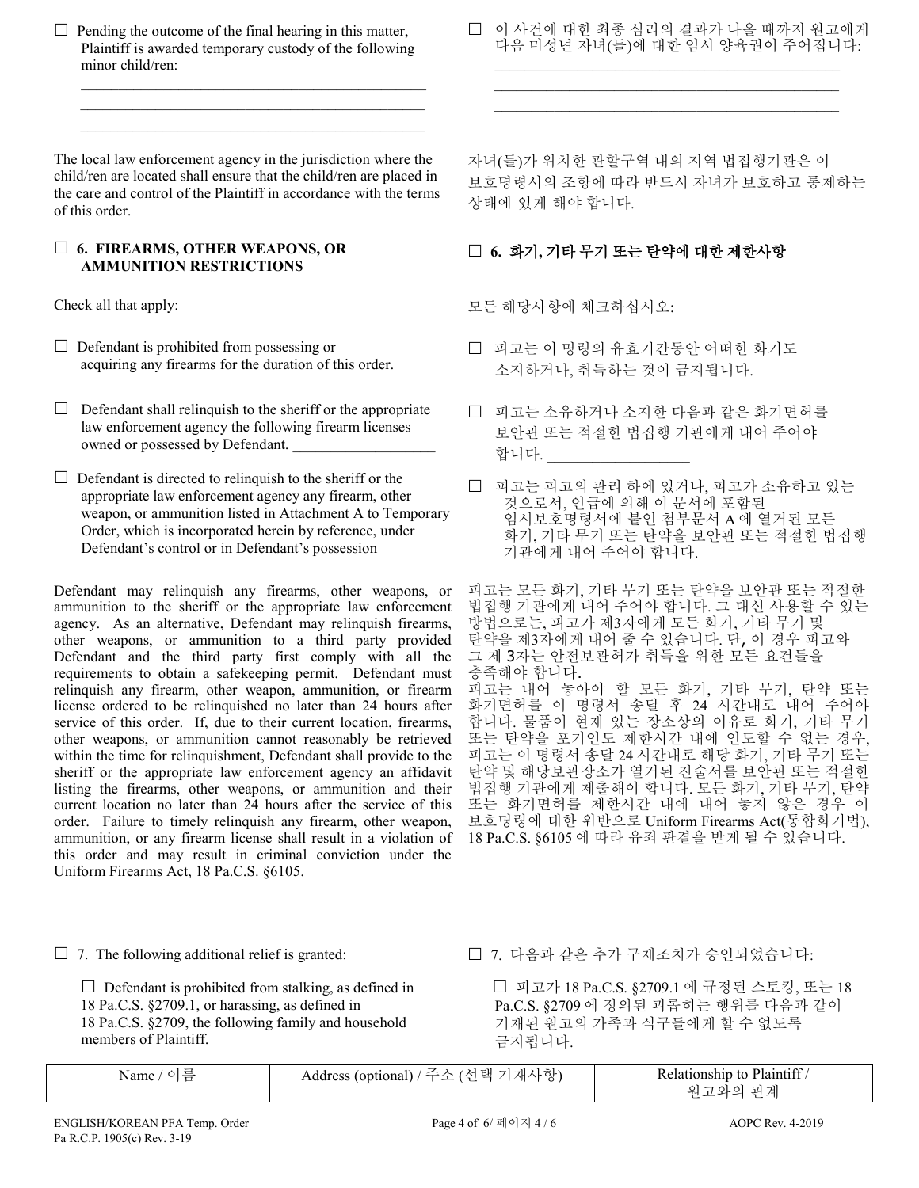$\Box$  Pending the outcome of the final hearing in this matter, Plaintiff is awarded temporary custody of the following minor child/ren:

 $\mathcal{L}_\text{max}$  and  $\mathcal{L}_\text{max}$  and  $\mathcal{L}_\text{max}$  and  $\mathcal{L}_\text{max}$  and  $\mathcal{L}_\text{max}$  $\mathcal{L}_\mathcal{L}$  , which is a set of the set of the set of the set of the set of the set of the set of the set of the set of the set of the set of the set of the set of the set of the set of the set of the set of the set of  $\mathcal{L}_\text{max} = \frac{1}{2} \sum_{i=1}^{n} \frac{1}{2} \sum_{i=1}^{n} \frac{1}{2} \sum_{i=1}^{n} \frac{1}{2} \sum_{i=1}^{n} \frac{1}{2} \sum_{i=1}^{n} \frac{1}{2} \sum_{i=1}^{n} \frac{1}{2} \sum_{i=1}^{n} \frac{1}{2} \sum_{i=1}^{n} \frac{1}{2} \sum_{i=1}^{n} \frac{1}{2} \sum_{i=1}^{n} \frac{1}{2} \sum_{i=1}^{n} \frac{1}{2} \sum_{i=1}^{n} \frac{1$ 

The local law enforcement agency in the jurisdiction where the child/ren are located shall ensure that the child/ren are placed in the care and control of the Plaintiff in accordance with the terms of this order.

### **6. FIREARMS, OTHER WEAPONS, OR AMMUNITION RESTRICTIONS**

- $\Box$  Defendant is prohibited from possessing or
- $\Box$  Defendant shall relinquish to the sheriff or the appropriate law enforcement agency the following firearm licenses owned or possessed by Defendant.
- $\Box$  Defendant is directed to relinquish to the sheriff or the appropriate law enforcement agency any firearm, other weapon, or ammunition listed in Attachment A to Temporary Order, which is incorporated herein by reference, under Defendant's control or in Defendant's possession

Defendant may relinquish any firearms, other weapons, or ammunition to the sheriff or the appropriate law enforcement agency. As an alternative, Defendant may relinquish firearms, other weapons, or ammunition to a third party provided Defendant and the third party first comply with all the requirements to obtain a safekeeping permit. Defendant must relinquish any firearm, other weapon, ammunition, or firearm license ordered to be relinquished no later than 24 hours after service of this order. If, due to their current location, firearms, other weapons, or ammunition cannot reasonably be retrieved within the time for relinquishment, Defendant shall provide to the sheriff or the appropriate law enforcement agency an affidavit listing the firearms, other weapons, or ammunition and their current location no later than 24 hours after the service of this order. Failure to timely relinquish any firearm, other weapon, ammunition, or any firearm license shall result in a violation of this order and may result in criminal conviction under the Uniform Firearms Act, 18 Pa.C.S. §6105.

□ 이 사건에 대한 최종 심리의 결과가 나올 때까지 원고에게 다음 미성년 자녀(들)에 대한 임시 양육권이 주어집니다: \_\_\_\_\_\_\_\_\_\_\_\_\_\_\_\_\_\_\_\_\_\_\_\_\_\_\_\_\_\_\_\_\_\_\_\_\_\_\_\_\_\_\_\_\_\_

 $\mathcal{L}_\mathcal{L}$  , which is a set of the set of the set of the set of the set of the set of the set of the set of the set of the set of the set of the set of the set of the set of the set of the set of the set of the set of \_\_\_\_\_\_\_\_\_\_\_\_\_\_\_\_\_\_\_\_\_\_\_\_\_\_\_\_\_\_\_\_\_\_\_\_\_\_\_\_\_\_\_\_\_\_

자녀(들)가 위치한 관할구역 내의 지역 법집행기관은 이 보호명령서의 조항에 따라 반드시 자녀가 보호하고 통제하는 상태에 있게 해야 합니다.

# **6.** 화기**,** 기타 무기 또는 탄약에 대한 제한사항

Check all that apply: 모든 해당사항에 체크하십시오:

- Defendant is prohibited from possessing or ココーコココロマン 미 피고는 이 명령의 유효기간동안 어떠한 화기도<br>acquiring any firearms for the duration of this order. ス치하거나 최드하느 거이 그지되니다 소지하거나, 취득하는 것이 금지됩니다.
	- 피고는 소유하거나 소지한 다음과 같은 화기면허를 보안관 또는 적절한 법집행 기관에게 내어 주어야 합니다.
	- 피고는 피고의 관리 하에 있거나, 피고가 소유하고 있는 것으로서, 언급에 의해 이 문서에 포함된 임시보호명령서에 붙인 첨부문서 A 에 열거된 모든 화기, 기타 무기 또는 탄약을 보안관 또는 적절한 법집행 기관에게 내어 주어야 합니다.

피고는 모든 화기, 기타 무기 또는 탄약을 보안관 또는 적절한 법집행 기관에게 내어 주어야 합니다. 그 대신 사용할 수 있는 방법으로는, 피고가 제3자에게 모든 화기, 기타 무기 및 탄약을 제3자에게 내어 줄 수 있습니다. 단, 이 경우 피고와 그 제 3자는 안전보관허가 취득을 위한 모든 요건들을 충족해야 합니다. 피고는 내어 놓아야 할 모든 화기, 기타 무기, 탄약 또는 화기면허를 이 명령서 송달 후 24 시간내로 내어 주어야 합니다. 물품이 현재 있는 장소상의 이유로 화기, 기타 무기 또는 탄약을 포기인도 제한시간 내에 인도할 수 없는 경우, 피고는 이 명령서 송달 24 시간내로 해당 화기, 기타 무기 또는 탄약 및 해당보관장소가 열거된 진술서를 보안관 또는 적절한 법집행 기관에게 제출해야 합니다. 모든 화기, 기타 무기, 탄약 또는 화기면허를 제한시간 내에 내어 놓지 않은 경우 이 보호명령에 대한 위반으로 Uniform Firearms Act(통합화기법), 18 Pa.C.S. §6105 에 따라 유죄 판결을 받게 될 수 있습니다.

 $\Box$  Defendant is prohibited from stalking, as defined in 18 Pa.C.S. §2709.1, or harassing, as defined in 18 Pa.C.S. §2709, the following family and household members of Plaintiff.

7. The following additional relief is granted: 7. 다음과 같은 추가 구제조치가 승인되었습니다:

 피고가 18 Pa.C.S. §2709.1 에 규정된 스토킹, 또는 18 Pa.C.S. §2709 에 정의된 괴롭히는 행위를 다음과 같이 기재된 원고의 가족과 식구들에게 할 수 없도록 금지됩니다.

| Name /<br>이듬 | 재사항)<br>Address (optional) / 주소 (선택<br>$\overline{\phantom{0}}$ | Relationship to Plaintiff/<br>ન્યો<br>$\overline{u}$<br>74 |
|--------------|-----------------------------------------------------------------|------------------------------------------------------------|
|              |                                                                 |                                                            |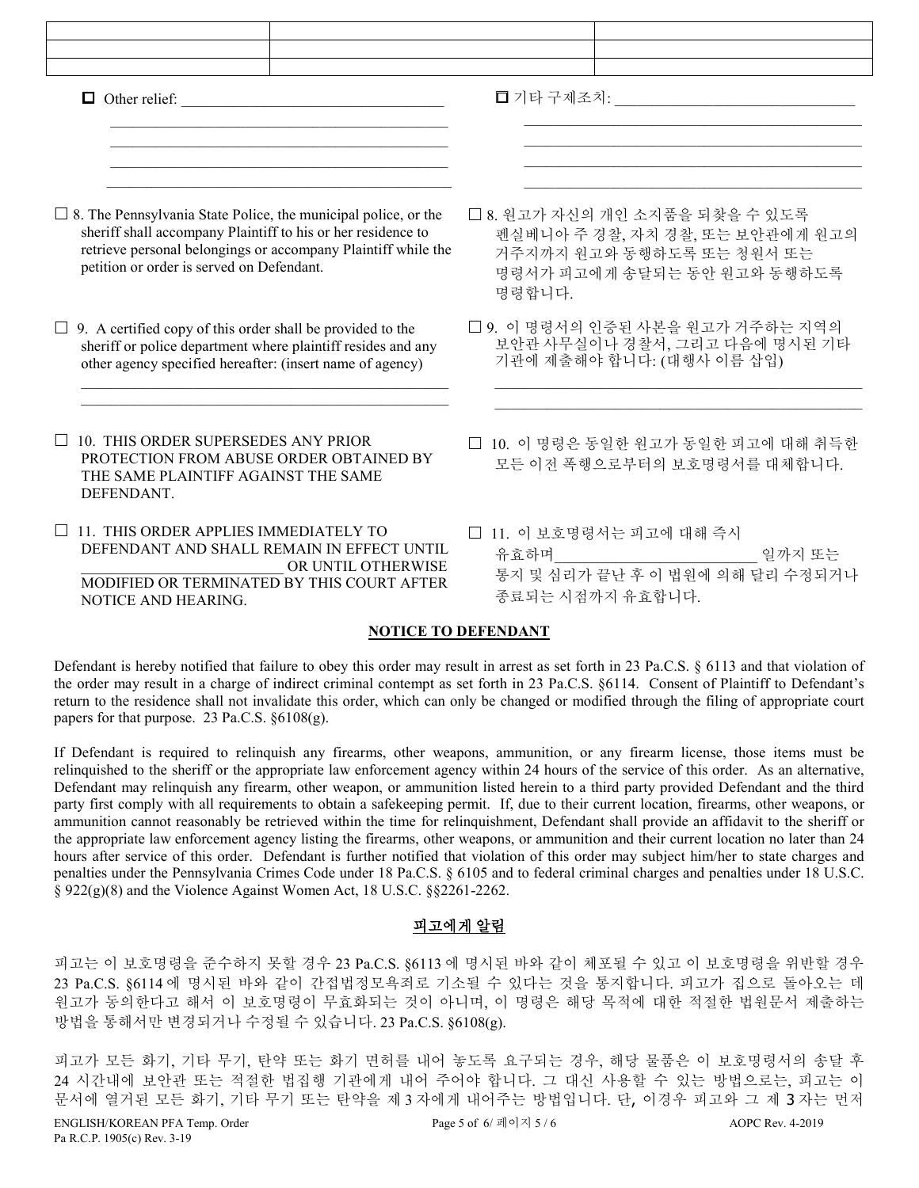| $\Box$ Other relief:                                                                                                                                                                                                                                |                                                                                                                                         |  |  |
|-----------------------------------------------------------------------------------------------------------------------------------------------------------------------------------------------------------------------------------------------------|-----------------------------------------------------------------------------------------------------------------------------------------|--|--|
| $\Box$ 8. The Pennsylvania State Police, the municipal police, or the<br>sheriff shall accompany Plaintiff to his or her residence to<br>retrieve personal belongings or accompany Plaintiff while the<br>petition or order is served on Defendant. | □ 8. 원고가 자신의 개인 소지품을 되찾을 수 있도록<br>펜실베니아 주 경찰, 자치 경찰, 또는 보안관에게 원고의<br>거주지까지 원고와 동행하도록 또는 청원서 또는<br>명령서가 피고에게 송달되는 동안 원고와 동행하도록<br>명령합니다. |  |  |
| $\Box$ 9. A certified copy of this order shall be provided to the<br>sheriff or police department where plaintiff resides and any<br>other agency specified hereafter: (insert name of agency)                                                      | □ 9. 이 명령서의 인증된 사본을 원고가 거주하는 지역의<br>보안관 사무실이나 경찰서, 그리고 다음에 명시된 기타<br>기관에 제출해야 합니다: (대행사 이름 삽입)                                          |  |  |
| 10. THIS ORDER SUPERSEDES ANY PRIOR<br>PROTECTION FROM ABUSE ORDER OBTAINED BY<br>THE SAME PLAINTIFF AGAINST THE SAME<br>DEFENDANT.                                                                                                                 | □ 10. 이 명령은 동일한 원고가 동일한 피고에 대해 취득한<br>모든 이전 폭행으로부터의 보호명령서를 대체합니다.                                                                       |  |  |
| 11. THIS ORDER APPLIES IMMEDIATELY TO<br>DEFENDANT AND SHALL REMAIN IN EFFECT UNTIL<br>OR UNTIL OTHERWISE<br>MODIFIED OR TERMINATED BY THIS COURT AFTER<br>NOTICE AND HEARING.                                                                      | □ 11. 이 보호명령서는 피고에 대해 즉시<br>유효하며<br>일까지 또는<br>통지 및 심리가 끝난 후 이 법원에 의해 달리 수정되거나<br>종료되는 시점까지 유효합니다.                                       |  |  |

### **NOTICE TO DEFENDANT**

Defendant is hereby notified that failure to obey this order may result in arrest as set forth in 23 Pa.C.S. § 6113 and that violation of the order may result in a charge of indirect criminal contempt as set forth in 23 Pa.C.S. §6114. Consent of Plaintiff to Defendant's return to the residence shall not invalidate this order, which can only be changed or modified through the filing of appropriate court papers for that purpose. 23 Pa.C.S. §6108(g).

If Defendant is required to relinquish any firearms, other weapons, ammunition, or any firearm license, those items must be relinquished to the sheriff or the appropriate law enforcement agency within 24 hours of the service of this order. As an alternative, Defendant may relinquish any firearm, other weapon, or ammunition listed herein to a third party provided Defendant and the third party first comply with all requirements to obtain a safekeeping permit. If, due to their current location, firearms, other weapons, or ammunition cannot reasonably be retrieved within the time for relinquishment, Defendant shall provide an affidavit to the sheriff or the appropriate law enforcement agency listing the firearms, other weapons, or ammunition and their current location no later than 24 hours after service of this order. Defendant is further notified that violation of this order may subject him/her to state charges and penalties under the Pennsylvania Crimes Code under 18 Pa.C.S. § 6105 and to federal criminal charges and penalties under 18 U.S.C. § 922(g)(8) and the Violence Against Women Act, 18 U.S.C. §§2261-2262.

# 피고에게 알림

피고는 이 보호명령을 준수하지 못할 경우 23 Pa.C.S. §6113 에 명시된 바와 같이 체포될 수 있고 이 보호명령을 위반할 경우 23 Pa.C.S. §6114 에 명시된 바와 같이 간접법정모욕죄로 기소될 수 있다는 것을 통지합니다. 피고가 집으로 돌아오는 데 원고가 동의한다고 해서 이 보호명령이 무효화되는 것이 아니며, 이 명령은 해당 목적에 대한 적절한 법원문서 제출하는 방법을 통해서만 변경되거나 수정될 수 있습니다. 23 Pa.C.S. §6108(g).

피고가 모든 화기, 기타 무기, 탄약 또는 화기 면허를 내어 놓도록 요구되는 경우, 해당 물품은 이 보호명령서의 송달 후 24 시간내에 보안관 또는 적절한 법집행 기관에게 내어 주어야 합니다. 그 대신 사용할 수 있는 방법으로는, 피고는 이 문서에 열거된 모든 화기, 기타 무기 또는 탄약을 제 3 자에게 내어주는 방법입니다. 단, 이경우 피고와 그 제 3 자는 먼저